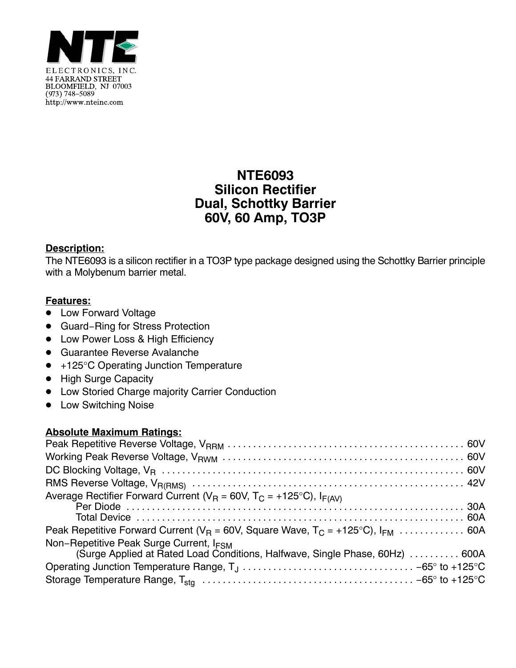

# **NTE6093 Silicon Rectifier Dual, Schottky Barrier 60V, 60 Amp, TO3P**

### **Description:**

The NTE6093 is a silicon rectifier in a TO3P type package designed using the Schottky Barrier principle with a Molybenum barrier metal.

#### **Features:**

- **•** Low Forward Voltage
- Guard-Ring for Stress Protection
- Low Power Loss & High Efficiency
- Guarantee Reverse Avalanche
- +125°C Operating Junction Temperature
- High Surge Capacity
- $\bullet$  Low Storied Charge majority Carrier Conduction
- Low Switching Noise

#### **Absolute Maximum Ratings:**

| Average Rectifier Forward Current ( $V_R$ = 60V, T <sub>C</sub> = +125°C), I <sub>F(AV)</sub>                                       |  |
|-------------------------------------------------------------------------------------------------------------------------------------|--|
| Peak Repetitive Forward Current ( $V_B$ = 60V, Square Wave, $T_C$ = +125°C), $I_{FM}$ 60A                                           |  |
| Non-Repetitive Peak Surge Current, I <sub>FSM</sub><br>(Surge Applied at Rated Load Conditions, Halfwave, Single Phase, 60Hz)  600A |  |
|                                                                                                                                     |  |